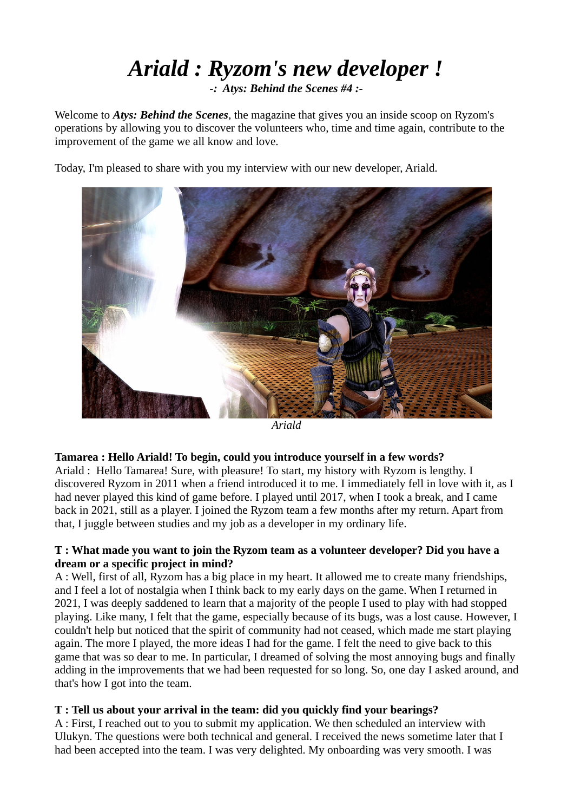# *Ariald : Ryzom's new developer !*

*-: Atys: Behind the Scenes #4 :-*

Welcome to *Atys: Behind the Scenes*, the magazine that gives you an inside scoop on Ryzom's operations by allowing you to discover the volunteers who, time and time again, contribute to the improvement of the game we all know and love.

Today, I'm pleased to share with you my interview with our new developer, Ariald.



*Ariald*

#### **Tamarea : Hello Ariald! To begin, could you introduce yourself in a few words?**

Ariald : Hello Tamarea! Sure, with pleasure! To start, my history with Ryzom is lengthy. I discovered Ryzom in 2011 when a friend introduced it to me. I immediately fell in love with it, as I had never played this kind of game before. I played until 2017, when I took a break, and I came back in 2021, still as a player. I joined the Ryzom team a few months after my return. Apart from that, I juggle between studies and my job as a developer in my ordinary life.

#### **T : What made you want to join the Ryzom team as a volunteer developer? Did you have a dream or a specific project in mind?**

A : Well, first of all, Ryzom has a big place in my heart. It allowed me to create many friendships, and I feel a lot of nostalgia when I think back to my early days on the game. When I returned in 2021, I was deeply saddened to learn that a majority of the people I used to play with had stopped playing. Like many, I felt that the game, especially because of its bugs, was a lost cause. However, I couldn't help but noticed that the spirit of community had not ceased, which made me start playing again. The more I played, the more ideas I had for the game. I felt the need to give back to this game that was so dear to me. In particular, I dreamed of solving the most annoying bugs and finally adding in the improvements that we had been requested for so long. So, one day I asked around, and that's how I got into the team.

#### **T : Tell us about your arrival in the team: did you quickly find your bearings?**

A : First, I reached out to you to submit my application. We then scheduled an interview with Ulukyn. The questions were both technical and general. I received the news sometime later that I had been accepted into the team. I was very delighted. My onboarding was very smooth. I was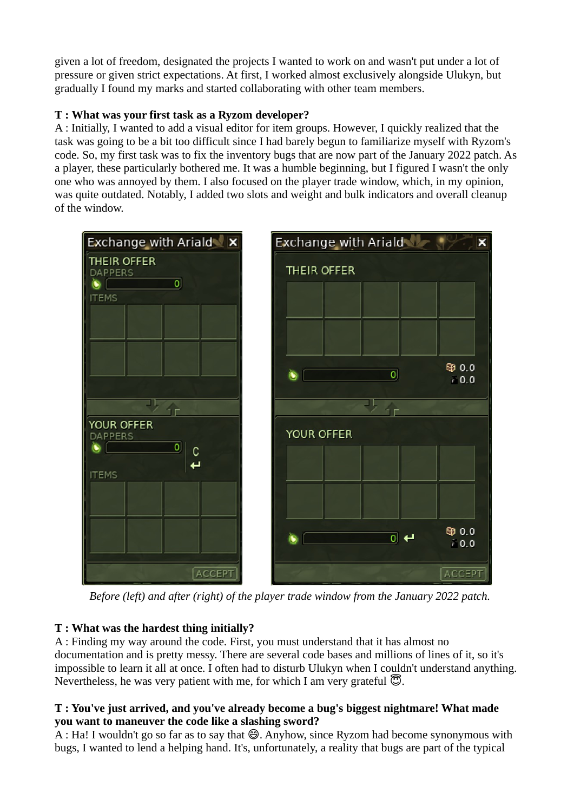given a lot of freedom, designated the projects I wanted to work on and wasn't put under a lot of pressure or given strict expectations. At first, I worked almost exclusively alongside Ulukyn, but gradually I found my marks and started collaborating with other team members.

# **T : What was your first task as a Ryzom developer?**

A : Initially, I wanted to add a visual editor for item groups. However, I quickly realized that the task was going to be a bit too difficult since I had barely begun to familiarize myself with Ryzom's code. So, my first task was to fix the inventory bugs that are now part of the January 2022 patch. As a player, these particularly bothered me. It was a humble beginning, but I figured I wasn't the only one who was annoyed by them. I also focused on the player trade window, which, in my opinion, was quite outdated. Notably, I added two slots and weight and bulk indicators and overall cleanup of the window.



 *Before (left) and after (right) of the player trade window from the January 2022 patch.*

# **T : What was the hardest thing initially?**

A : Finding my way around the code. First, you must understand that it has almost no documentation and is pretty messy. There are several code bases and millions of lines of it, so it's impossible to learn it all at once. I often had to disturb Ulukyn when I couldn't understand anything. Nevertheless, he was very patient with me, for which I am very grateful  $\mathbb{C}$ .

## **T : You've just arrived, and you've already become a bug's biggest nightmare! What made you want to maneuver the code like a slashing sword?**

A : Ha! I wouldn't go so far as to say that  $\bigcirc$ . Anyhow, since Ryzom had become synonymous with bugs, I wanted to lend a helping hand. It's, unfortunately, a reality that bugs are part of the typical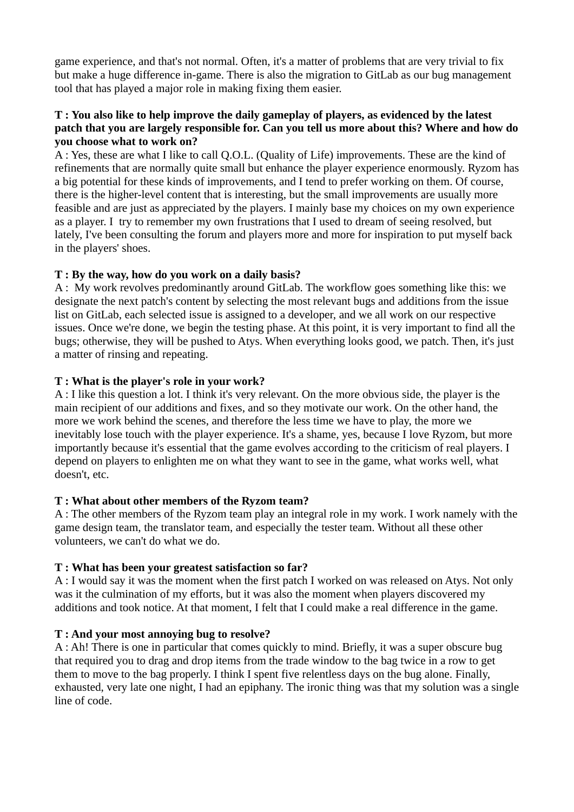game experience, and that's not normal. Often, it's a matter of problems that are very trivial to fix but make a huge difference in-game. There is also the migration to GitLab as our bug management tool that has played a major role in making fixing them easier.

#### **T : You also like to help improve the daily gameplay of players, as evidenced by the latest patch that you are largely responsible for. Can you tell us more about this? Where and how do you choose what to work on?**

A : Yes, these are what I like to call Q.O.L. (Quality of Life) improvements. These are the kind of refinements that are normally quite small but enhance the player experience enormously. Ryzom has a big potential for these kinds of improvements, and I tend to prefer working on them. Of course, there is the higher-level content that is interesting, but the small improvements are usually more feasible and are just as appreciated by the players. I mainly base my choices on my own experience as a player. I try to remember my own frustrations that I used to dream of seeing resolved, but lately, I've been consulting the forum and players more and more for inspiration to put myself back in the players' shoes.

#### **T : By the way, how do you work on a daily basis?**

A : My work revolves predominantly around GitLab. The workflow goes something like this: we designate the next patch's content by selecting the most relevant bugs and additions from the issue list on GitLab, each selected issue is assigned to a developer, and we all work on our respective issues. Once we're done, we begin the testing phase. At this point, it is very important to find all the bugs; otherwise, they will be pushed to Atys. When everything looks good, we patch. Then, it's just a matter of rinsing and repeating.

#### **T : What is the player's role in your work?**

A : I like this question a lot. I think it's very relevant. On the more obvious side, the player is the main recipient of our additions and fixes, and so they motivate our work. On the other hand, the more we work behind the scenes, and therefore the less time we have to play, the more we inevitably lose touch with the player experience. It's a shame, yes, because I love Ryzom, but more importantly because it's essential that the game evolves according to the criticism of real players. I depend on players to enlighten me on what they want to see in the game, what works well, what doesn't, etc.

#### **T : What about other members of the Ryzom team?**

A : The other members of the Ryzom team play an integral role in my work. I work namely with the game design team, the translator team, and especially the tester team. Without all these other volunteers, we can't do what we do.

#### **T : What has been your greatest satisfaction so far?**

A : I would say it was the moment when the first patch I worked on was released on Atys. Not only was it the culmination of my efforts, but it was also the moment when players discovered my additions and took notice. At that moment, I felt that I could make a real difference in the game.

#### **T : And your most annoying bug to resolve?**

A : Ah! There is one in particular that comes quickly to mind. Briefly, it was a super obscure bug that required you to drag and drop items from the trade window to the bag twice in a row to get them to move to the bag properly. I think I spent five relentless days on the bug alone. Finally, exhausted, very late one night, I had an epiphany. The ironic thing was that my solution was a single line of code.